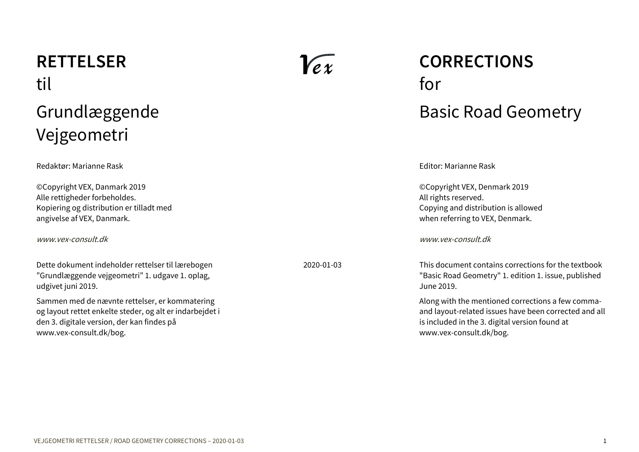# <span id="page-0-0"></span>**RETTELSER** til Grundlæggende Vejgeometri

Redaktør: Marianne Rask

©Copyright VEX, Danmark 2019 Alle rettigheder forbeholdes. Kopiering og distribution er tilladt med angivelse af VEX, Danmark.

[www.vex-consult.dk](http://www.vex-consult.dk/)

Dette dokument indeholder rettelser til lærebogen "Grundlæggende vejgeometri" 1. udgave 1. oplag, udgivet juni 2019.

Sammen med de nævnte rettelser, er kommatering og layout rettet enkelte steder, og alt er indarbejdet i den 3. digitale version, der kan findes på www.vex-consult.dk/bog.

 $\mathcal{V}$ ex

# **CORRECTIONS** for Basic Road Geometry

Editor: Marianne Rask

©Copyright VEX, Denmark 2019 All rights reserved. Copying and distribution is allowed when referring to VEX, Denmark.

[www.vex-consult.dk](http://www.vex-consult.dk/)

2020-01-03 This document contains corrections for the textbook "Basic Road Geometry" 1. edition 1. issue, published June 2019.

> Along with the mentioned corrections a few commaand layout-related issues have been corrected and all is included in the 3. digital version found at www.vex-consult.dk/bog.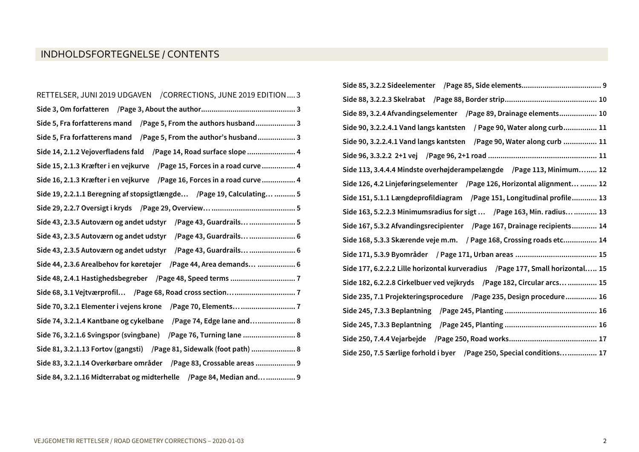# INDHOLDSFORTEGNELSE / CONTENTS

| RETTELSER, JUNI 2019 UDGAVEN / CORRECTIONS, JUNE 2019 EDITION 3           |
|---------------------------------------------------------------------------|
|                                                                           |
| Side 5, Fra forfatterens mand / Page 5, From the authors husband 3        |
| Side 5, Fra forfatterens mand / Page 5, From the author's husband 3       |
| Side 14, 2.1.2 Vejoverfladens fald / Page 14, Road surface slope  4       |
| Side 15, 2.1.3 Kræfter i en vejkurve / Page 15, Forces in a road curve  4 |
| Side 16, 2.1.3 Kræfter i en vejkurve / Page 16, Forces in a road curve  4 |
| Side 19, 2.2.1.1 Beregning af stopsigtlængde / Page 19, Calculating  5    |
|                                                                           |
| Side 43, 2.3.5 Autoværn og andet udstyr / Page 43, Guardrails  5          |
| Side 43, 2.3.5 Autoværn og andet udstyr / Page 43, Guardrails  6          |
| Side 43, 2.3.5 Autoværn og andet udstyr / Page 43, Guardrails  6          |
| Side 44, 2.3.6 Arealbehov for køretøjer / Page 44, Area demands  6        |
|                                                                           |
|                                                                           |
|                                                                           |
| Side 74, 3.2.1.4 Kantbane og cykelbane / Page 74, Edge lane and 8         |
| Side 76, 3.2.1.6 Svingspor (svingbane) / Page 76, Turning lane  8         |
| Side 81, 3.2.1.13 Fortov (gangsti) / Page 81, Sidewalk (foot path)  8     |
| Side 83, 3.2.1.14 Overkørbare områder / Page 83, Crossable areas  9       |
| Side 84, 3.2.1.16 Midterrabat og midterhelle /Page 84, Median and 9       |

| Side 89, 3.2.4 Afvandingselementer / Page 89, Drainage elements 10             |
|--------------------------------------------------------------------------------|
| Side 90, 3.2.2.4.1 Vand langs kantsten / Page 90, Water along curb 11          |
| Side 90, 3.2.2.4.1 Vand langs kantsten / Page 90, Water along curb  11         |
|                                                                                |
| Side 113, 3.4.4.4 Mindste overhøjderampelængde / Page 113, Minimum 12          |
| Side 126, 4.2 Linjeføringselementer / Page 126, Horizontal alignment  12       |
| Side 151, 5.1.1 Længdeprofildiagram / Page 151, Longitudinal profile 13        |
| Side 163, 5.2.2.3 Minimumsradius for sigt  / Page 163, Min. radius  13         |
| Side 167, 5.3.2 Afvandingsrecipienter / Page 167, Drainage recipients 14       |
| Side 168, 5.3.3 Skærende veje m.m. / Page 168, Crossing roads etc 14           |
|                                                                                |
| Side 177, 6.2.2.2 Lille horizontal kurveradius / Page 177, Small horizontal 15 |
| Side 182, 6.2.2.8 Cirkelbuer ved vejkryds / Page 182, Circular arcs  15        |
| Side 235, 7.1 Projekteringsprocedure / Page 235, Design procedure 16           |
|                                                                                |
|                                                                                |
|                                                                                |
| Side 250, 7.5 Særlige forhold i byer / Page 250, Special conditions 17         |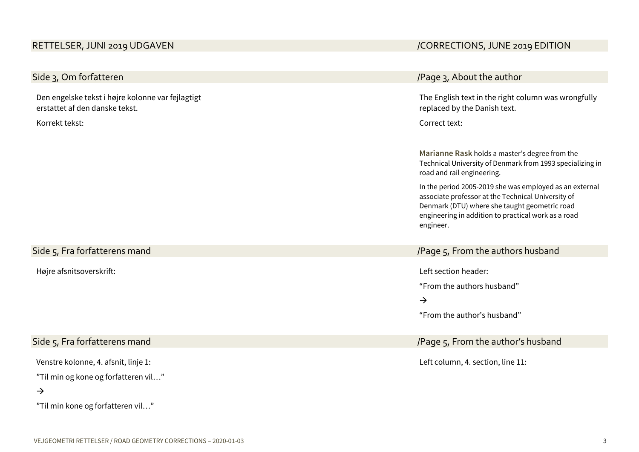# <span id="page-2-1"></span>Side 3, Om forfatteren

Den engelske tekst i højre kolonne var fejlagtigt erstattet af den danske tekst.

Korrekt tekst:

# <span id="page-2-2"></span>Side 5, Fra forfatterens mand

Højre afsnitsoverskrift:

# <span id="page-2-3"></span>Side 5, Fra forfatterens mand

Venstre kolonne, 4. afsnit, linje 1:

"Til min og kone og forfatteren vil…"

 $\rightarrow$ 

"Til min kone og forfatteren vil…"

# <span id="page-2-0"></span>RETTELSER, JUNI 2019 UDGAVEN AND THE SERIES OF THE SERIES OF THE SERIES OF THE SERIES OF THE SERIES OF THE SERIES OF THE SERIES OF THE SERIES OF THE SERIES OF THE SERIES OF THE SERIES OF THE SERIES OF THE SERIES OF THE SER

| /Page 3, About the author<br>The English text in the right column was wrongfully<br>replaced by the Danish text.<br>Correct text:<br>Marianne Rask holds a master's degree from the<br>Technical University of Denmark from 1993 specializing in<br>road and rail engineering.<br>In the period 2005-2019 she was employed as an external<br>associate professor at the Technical University of<br>Denmark (DTU) where she taught geometric road<br>engineering in addition to practical work as a road<br>engineer.<br>/Page 5, From the authors husband<br>Left section header:<br>"From the authors husband"<br>$\rightarrow$<br>"From the author's husband"<br>/Page 5, From the author's husband<br>Left column, 4. section, line 11: |  |
|--------------------------------------------------------------------------------------------------------------------------------------------------------------------------------------------------------------------------------------------------------------------------------------------------------------------------------------------------------------------------------------------------------------------------------------------------------------------------------------------------------------------------------------------------------------------------------------------------------------------------------------------------------------------------------------------------------------------------------------------|--|
|                                                                                                                                                                                                                                                                                                                                                                                                                                                                                                                                                                                                                                                                                                                                            |  |
|                                                                                                                                                                                                                                                                                                                                                                                                                                                                                                                                                                                                                                                                                                                                            |  |
|                                                                                                                                                                                                                                                                                                                                                                                                                                                                                                                                                                                                                                                                                                                                            |  |
|                                                                                                                                                                                                                                                                                                                                                                                                                                                                                                                                                                                                                                                                                                                                            |  |
|                                                                                                                                                                                                                                                                                                                                                                                                                                                                                                                                                                                                                                                                                                                                            |  |
|                                                                                                                                                                                                                                                                                                                                                                                                                                                                                                                                                                                                                                                                                                                                            |  |
|                                                                                                                                                                                                                                                                                                                                                                                                                                                                                                                                                                                                                                                                                                                                            |  |
|                                                                                                                                                                                                                                                                                                                                                                                                                                                                                                                                                                                                                                                                                                                                            |  |
|                                                                                                                                                                                                                                                                                                                                                                                                                                                                                                                                                                                                                                                                                                                                            |  |
|                                                                                                                                                                                                                                                                                                                                                                                                                                                                                                                                                                                                                                                                                                                                            |  |
|                                                                                                                                                                                                                                                                                                                                                                                                                                                                                                                                                                                                                                                                                                                                            |  |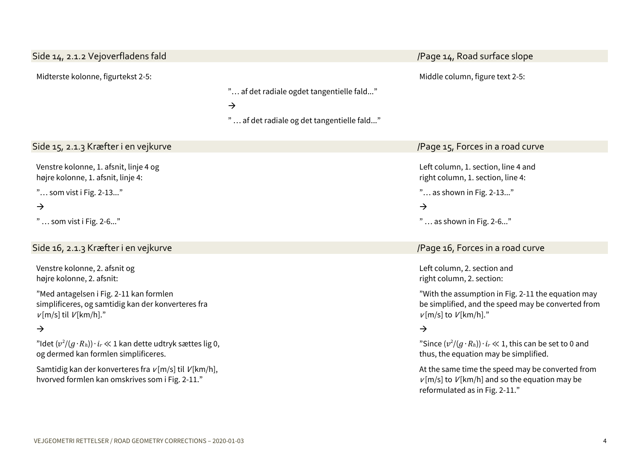<span id="page-3-2"></span><span id="page-3-1"></span><span id="page-3-0"></span>

| Side 14, 2.1.2 Vejoverfladens fald                                                                                          |                                                                                                          | /Page 14, Road surface slope                                                                                                           |
|-----------------------------------------------------------------------------------------------------------------------------|----------------------------------------------------------------------------------------------------------|----------------------------------------------------------------------------------------------------------------------------------------|
|                                                                                                                             |                                                                                                          |                                                                                                                                        |
| Midterste kolonne, figurtekst 2-5:                                                                                          | " af det radiale ogdet tangentielle fald"<br>$\rightarrow$<br>" af det radiale og det tangentielle fald" | Middle column, figure text 2-5:                                                                                                        |
| Side 15, 2.1.3 Kræfter i en vejkurve                                                                                        |                                                                                                          | /Page 15, Forces in a road curve                                                                                                       |
| Venstre kolonne, 1. afsnit, linje 4 og<br>højre kolonne, 1. afsnit, linje 4:                                                |                                                                                                          | Left column, 1. section, line 4 and<br>right column, 1. section, line 4:                                                               |
| " som vist i Fig. 2-13"                                                                                                     |                                                                                                          | " as shown in Fig. 2-13"                                                                                                               |
| $\rightarrow$                                                                                                               |                                                                                                          | $\rightarrow$                                                                                                                          |
| "  som vist i Fig. 2-6"                                                                                                     |                                                                                                          | "  as shown in Fig. 2-6"                                                                                                               |
| Side 16, 2.1.3 Kræfter i en vejkurve                                                                                        |                                                                                                          | /Page 16, Forces in a road curve                                                                                                       |
| Venstre kolonne, 2. afsnit og<br>højre kolonne, 2. afsnit:                                                                  |                                                                                                          | Left column, 2. section and<br>right column, 2. section:                                                                               |
| "Med antagelsen i Fig. 2-11 kan formlen<br>simplificeres, og samtidig kan der konverteres fra<br>$v$ [m/s] til $V$ [km/h]." |                                                                                                          | "With the assumption in Fig. 2-11 the equation may<br>be simplified, and the speed may be converted from<br>$v$ [m/s] to $V$ [km/h]."  |
| $\rightarrow$                                                                                                               |                                                                                                          | $\rightarrow$                                                                                                                          |
| "Idet $(v^2/(g \cdot R_h)) \cdot i_r \ll 1$ kan dette udtryk sættes lig 0,<br>og dermed kan formlen simplificeres.          |                                                                                                          | "Since $(v^2/(g \cdot R_h)) \cdot i_r \ll 1$ , this can be set to 0 and<br>thus, the equation may be simplified.                       |
| Samtidig kan der konverteres fra $v[m/s]$ til $V[km/h]$ ,<br>hvorved formlen kan omskrives som i Fig. 2-11."                |                                                                                                          | At the same time the speed may be converted from<br>$v[m/s]$ to $V[km/h]$ and so the equation may be<br>reformulated as in Fig. 2-11." |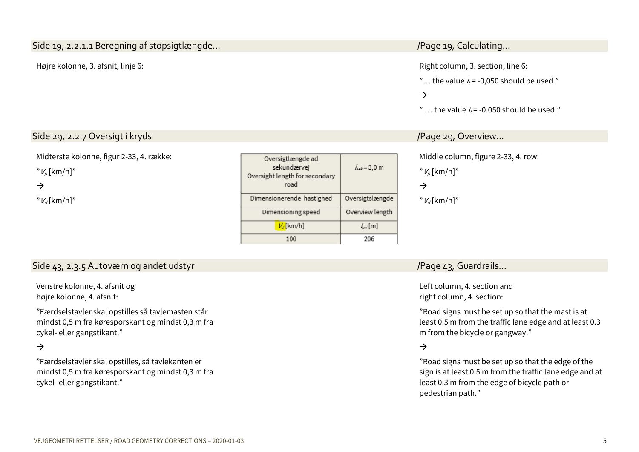# <span id="page-4-0"></span>Side 19, 2.2.1.1 Beregning af stopsigtlængde… // Calculating… /Page 19, Calculating…

Højre kolonne, 3. afsnit, linje 6: Right column, 3. section, line 6:

"... the value  $i_t = -0.050$  should be used."

# $\rightarrow$

"  $\ldots$  the value  $i = -0.050$  should be used."

### <span id="page-4-1"></span>Side 29, 2.2.7 Oversigt i kryds /Page 29, Overview…

Midterste kolonne, figur 2-33, 4. række:

 $"V<sub>o</sub>$ [km/h]"

 $\rightarrow$ 

 $"V_d$ [km/h]"

| Oversigtlængde ad<br>sekundærvej<br>Oversight length for secondary<br>road | $l_{\text{av}} = 3.0 \text{ m}$ |
|----------------------------------------------------------------------------|---------------------------------|
| Dimensionerende hastighed                                                  | Oversigtslængde                 |
| Dimensioning speed                                                         | Overview length                 |
| $V_d$ [km/h]                                                               | $l_{\rm gal}$ [m]               |
|                                                                            | 206                             |

Middle column, figure 2-33, 4. row:

" $V_p$  [km/h]"

 $\rightarrow$ 

 $"V_d$ [km/h]"

# <span id="page-4-2"></span>Side 43, 2.3.5 Autoværn og andet udstyr /Page 43, Guardrails…

Venstre kolonne, 4. afsnit og højre kolonne, 4. afsnit:

"Færdselstavler skal opstilles så tavlemasten står mindst 0,5 m fra køresporskant og mindst 0,3 m fra cykel- eller gangstikant."

 $\rightarrow$ 

"Færdselstavler skal opstilles, så tavlekanten er mindst 0,5 m fra køresporskant og mindst 0,3 m fra cykel- eller gangstikant."

Left column, 4. section and right column, 4. section:

"Road signs must be set up so that the mast is at least 0.5 m from the traffic lane edge and at least 0.3 m from the bicycle or gangway."

### $\rightarrow$

"Road signs must be set up so that the edge of the sign is at least 0.5 m from the traffic lane edge and at least 0.3 m from the edge of bicycle path or pedestrian path."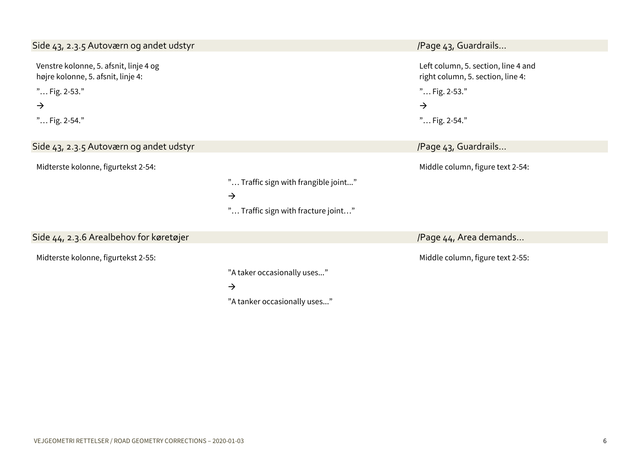<span id="page-5-2"></span><span id="page-5-1"></span><span id="page-5-0"></span>

| Side 43, 2.3.5 Autoværn og andet udstyr                                      |                                      | /Page 43, Guardrails                                                     |
|------------------------------------------------------------------------------|--------------------------------------|--------------------------------------------------------------------------|
| Venstre kolonne, 5. afsnit, linje 4 og<br>højre kolonne, 5. afsnit, linje 4: |                                      | Left column, 5. section, line 4 and<br>right column, 5. section, line 4: |
| " Fig. 2-53."                                                                |                                      | " Fig. 2-53."                                                            |
| $\rightarrow$                                                                |                                      | $\rightarrow$                                                            |
| " Fig. 2-54."                                                                |                                      | " Fig. 2-54."                                                            |
| Side 43, 2.3.5 Autoværn og andet udstyr                                      |                                      | /Page 43, Guardrails                                                     |
| Midterste kolonne, figurtekst 2-54:                                          |                                      | Middle column, figure text 2-54:                                         |
|                                                                              | " Traffic sign with frangible joint" |                                                                          |
|                                                                              | $\rightarrow$                        |                                                                          |
|                                                                              | " Traffic sign with fracture joint"  |                                                                          |
| Side 44, 2.3.6 Arealbehov for køretøjer                                      |                                      | /Page 44, Area demands                                                   |
| Midterste kolonne, figurtekst 2-55:                                          |                                      | Middle column, figure text 2-55:                                         |
|                                                                              | "A taker occasionally uses"          |                                                                          |
|                                                                              | $\rightarrow$                        |                                                                          |
|                                                                              | "A tanker occasionally uses"         |                                                                          |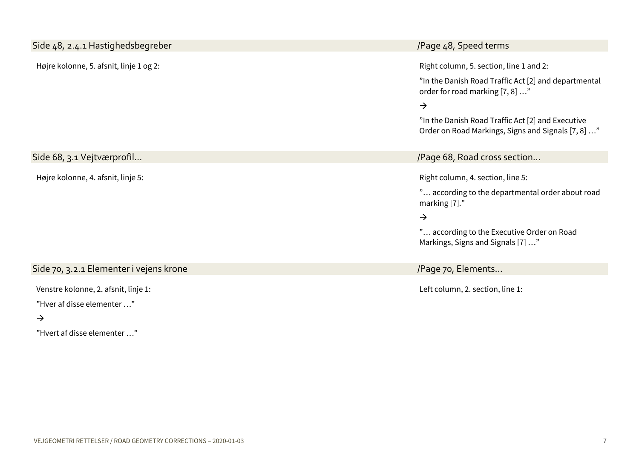<span id="page-6-1"></span><span id="page-6-0"></span>

| Side 48, 2.4.1 Hastighedsbegreber                                  | /Page 48, Speed terms                                                                                                                                                                                                                                          |
|--------------------------------------------------------------------|----------------------------------------------------------------------------------------------------------------------------------------------------------------------------------------------------------------------------------------------------------------|
| Højre kolonne, 5. afsnit, linje 1 og 2:                            | Right column, 5. section, line 1 and 2:<br>"In the Danish Road Traffic Act [2] and departmental<br>order for road marking [7, 8] "<br>$\rightarrow$<br>"In the Danish Road Traffic Act [2] and Executive<br>Order on Road Markings, Signs and Signals [7, 8] " |
| Side 68, 3.1 Vejtværprofil                                         | /Page 68, Road cross section                                                                                                                                                                                                                                   |
| Højre kolonne, 4. afsnit, linje 5:                                 | Right column, 4. section, line 5:<br>" according to the departmental order about road<br>marking [7]."<br>$\rightarrow$<br>" according to the Executive Order on Road<br>Markings, Signs and Signals [7] "                                                     |
| Side 70, 3.2.1 Elementer i vejens krone                            | /Page 70, Elements                                                                                                                                                                                                                                             |
| Venstre kolonne, 2. afsnit, linje 1:<br>"Hver af disse elementer " | Left column, 2. section, line 1:                                                                                                                                                                                                                               |

<span id="page-6-2"></span> $\rightarrow$ 

"Hvert af disse elementer …"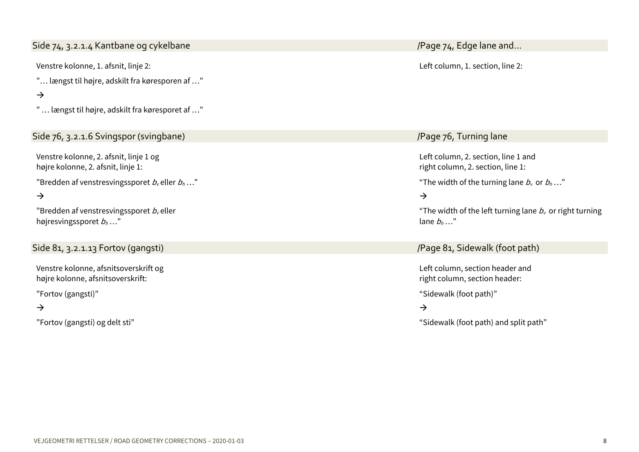<span id="page-7-0"></span>Side 74, 3.2.1.4 Kantbane og cykelbane // Allen and ... Allen and ... Allen and ... Allen and ... Allen and…

Venstre kolonne, 1. afsnit, linje 2:

"… længst til højre, adskilt fra køresporen af …"

#### $\rightarrow$

" … længst til højre, adskilt fra køresporet af …"

### <span id="page-7-1"></span>Side 76, 3.2.1.6 Svingspor (svingbane) */Page 76, Turning lane*

Venstre kolonne, 2. afsnit, linje 1 og højre kolonne, 2. afsnit, linje 1:

"Bredden af venstresvingssporet  $b_k$  eller  $b_k$ ..."

#### $\rightarrow$

"Bredden af venstresvingssporet  $b<sub>v</sub>$ eller højresvingssporet  $b_h$ ..."

## <span id="page-7-2"></span>Side 81, 3.2.1.13 Fortov (gangsti) /Page 81, Sidewalk (foot path)

Venstre kolonne, afsnitsoverskrift og højre kolonne, afsnitsoverskrift:

"Fortov (gangsti)"

### $\rightarrow$

"Fortov (gangsti) og delt sti"

Left column, 1. section, line 2:

Left column, 2. section, line 1 and right column, 2. section, line 1: "The width of the turning lane  $b_k$  or  $b_h$ ..."  $\rightarrow$ "The width of the left turning lane  $b<sub>v</sub>$  or right turning lane  $b_h$ ..."

Left column, section header and right column, section header:

"Sidewalk (foot path)"

 $\rightarrow$ 

"Sidewalk (foot path) and split path"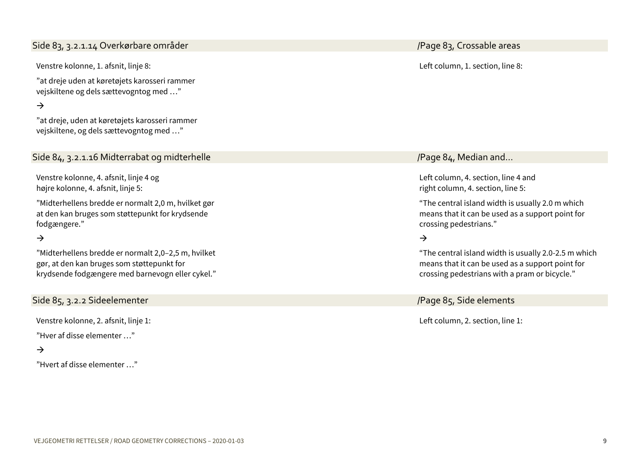# <span id="page-8-0"></span>Side 83, 3.2.1.14 Overkørbare områder /Page 83, Crossable areas

Venstre kolonne, 1. afsnit, linje 8:

"at dreje uden at køretøjets karosseri rammer vejskiltene og dels sættevogntog med …"

 $\rightarrow$ 

"at dreje, uden at køretøjets karosseri rammer vejskiltene, og dels sættevogntog med …"

### <span id="page-8-1"></span>Side 84, 3.2.1.16 Midterrabat og midterhelle and median and median and median and median and…

Venstre kolonne, 4. afsnit, linje 4 og højre kolonne, 4. afsnit, linje 5:

"Midterhellens bredde er normalt 2,0 m, hvilket gør at den kan bruges som støttepunkt for krydsende fodgængere."

### $\rightarrow$

"Midterhellens bredde er normalt 2,0–2,5 m, hvilket gør, at den kan bruges som støttepunkt for krydsende fodgængere med barnevogn eller cykel."

#### <span id="page-8-2"></span>Side 85, 3.2.2 Sideelementer /Page 85, Side elements

Venstre kolonne, 2. afsnit, linje 1:

"Hver af disse elementer …"

#### $\rightarrow$

"Hvert af disse elementer …"

Left column, 1. section, line 8:

Left column, 4. section, line 4 and right column, 4. section, line 5:

"The central island width is usually 2.0 m which means that it can be used as a support point for crossing pedestrians."

#### $\rightarrow$

"The central island width is usually 2.0-2.5 m which means that it can be used as a support point for crossing pedestrians with a pram or bicycle."

Left column, 2. section, line 1: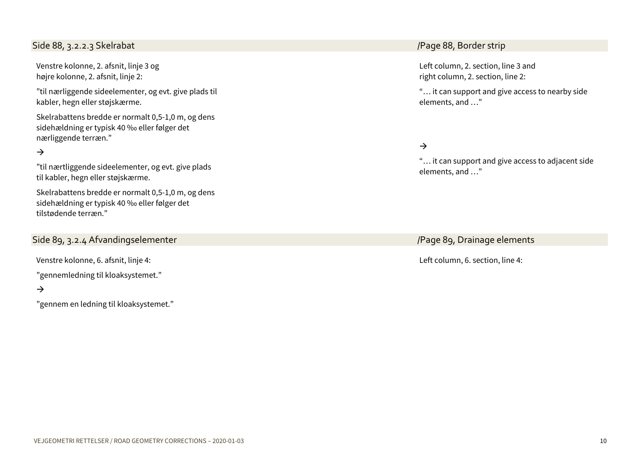## <span id="page-9-0"></span>Side 88, 3.2.2.3 Skelrabat /Page 88, Border strip

Venstre kolonne, 2. afsnit, linje 3 og højre kolonne, 2. afsnit, linje 2:

"til nærliggende sideelementer, og evt. give plads til kabler, hegn eller støjskærme.

Skelrabattens bredde er normalt 0,5-1,0 m, og dens sidehældning er typisk 40 ‰ eller følger det nærliggende terræn."

### $\rightarrow$

"til nærtliggende sideelementer, og evt. give plads til kabler, hegn eller støjskærme.

Skelrabattens bredde er normalt 0,5-1,0 m, og dens sidehældning er typisk 40 ‰ eller følger det tilstødende terræn."

### <span id="page-9-1"></span>Side 89, 3.2.4 Afvandingselementer // Side 89, Drainage elements

Venstre kolonne, 6. afsnit, linje 4:

"gennemledning til kloaksystemet."

#### $\rightarrow$

"gennem en ledning til kloaksystemet."

Left column, 2. section, line 3 and right column, 2. section, line 2:

"… it can support and give access to nearby side elements, and …"

#### $\rightarrow$

"… it can support and give access to adjacent side elements, and …"

Left column, 6. section, line 4: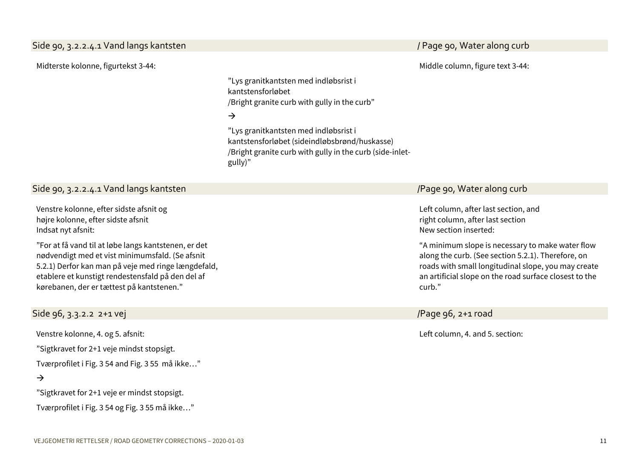<span id="page-10-0"></span>Side 90, 3.2.2.4.1 Vand langs kantsten / Page 90, Water along curb

Midterste kolonne, figurtekst 3-44:

"Lys granitkantsten med indløbsrist i kantstensforløbet /Bright granite curb with gully in the curb"

#### $\rightarrow$

"Lys granitkantsten med indløbsrist i kantstensforløbet (sideindløbsbrønd/huskasse) /Bright granite curb with gully in the curb (side-inletgully)"

Venstre kolonne, efter sidste afsnit og højre kolonne, efter sidste afsnit Indsat nyt afsnit:

"For at få vand til at løbe langs kantstenen, er det nødvendigt med et vist minimumsfald. (Se afsnit 5.2.1) Derfor kan man på veje med ringe længdefald, etablere et kunstigt rendestensfald på den del af kørebanen, der er tættest på kantstenen."

### <span id="page-10-2"></span>Side 96, 3.3.2.2 2+1 vej /Page 96, 2+1 road

Venstre kolonne, 4. og 5. afsnit:

"Sigtkravet for 2+1 veje mindst stopsigt.

Tværprofilet i Fig. 3 54 and Fig. 3 55 må ikke…"

#### $\rightarrow$

"Sigtkravet for 2+1 veje er mindst stopsigt.

Tværprofilet i Fig. 3 54 og Fig. 3 55 må ikke…"

Middle column, figure text 3-44:

## <span id="page-10-1"></span>Side 90, 3.2.2.4.1 Vand langs kantsten /Page 90, Water along curb

Left column, after last section, and right column, after last section New section inserted:

"A minimum slope is necessary to make water flow along the curb. (See section 5.2.1). Therefore, on roads with small longitudinal slope, you may create an artificial slope on the road surface closest to the curb."

Left column, 4. and 5. section: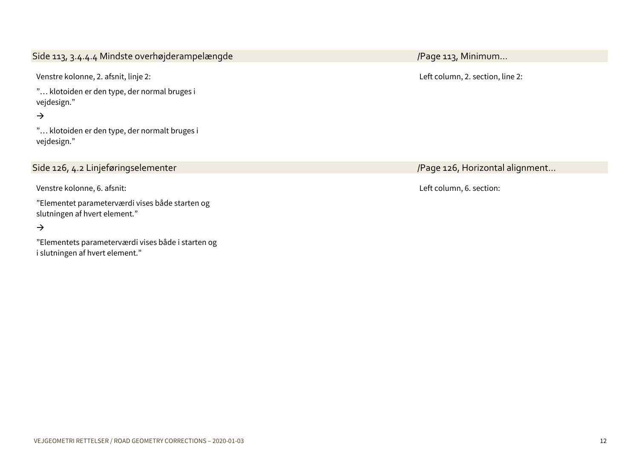# <span id="page-11-0"></span>Side 113, 3.4.4.4 Mindste overhøjderampelængde */Page 113, Minimum...*

Venstre kolonne, 2. afsnit, linje 2:

"… klotoiden er den type, der normal bruges i vejdesign."

 $\rightarrow$ 

"… klotoiden er den type, der normalt bruges i vejdesign."

Venstre kolonne, 6. afsnit:

"Elementet parameterværdi vises både starten og slutningen af hvert element."

 $\rightarrow$ 

"Elementets parameterværdi vises både i starten og i slutningen af hvert element."

Left column, 2. section, line 2:

<span id="page-11-1"></span>Side 126, 4.2 Linjeføringselementer // Side 126, Horizontal alignment...

Left column, 6. section: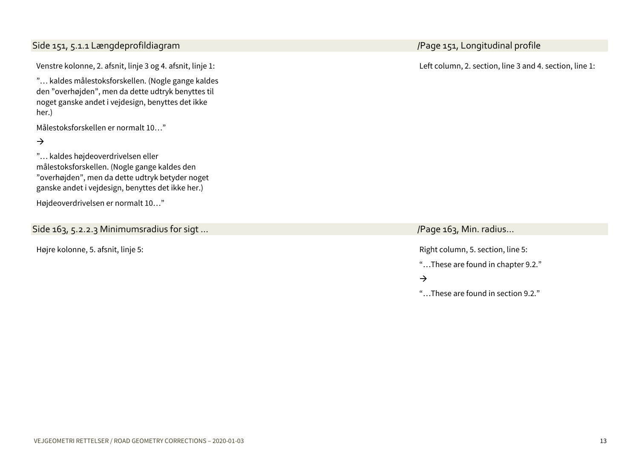#### noget ganske andet i vejdesign, benyttes det ikke her.)

Venstre kolonne, 2. afsnit, linje 3 og 4. afsnit, linje 1: "… kaldes målestoksforskellen. (Nogle gange kaldes den "overhøjden", men da dette udtryk benyttes til

Målestoksforskellen er normalt 10…"

 $\rightarrow$ 

"… kaldes højdeoverdrivelsen eller målestoksforskellen. (Nogle gange kaldes den "overhøjden", men da dette udtryk betyder noget ganske andet i vejdesign, benyttes det ikke her.)

Højdeoverdrivelsen er normalt 10…"

# <span id="page-12-1"></span>Side 163, 5.2.2.3 Minimumsradius for sigt ...

# <span id="page-12-0"></span>Side 151, 5.1.1 Længdeprofildiagram /Page 151, Longitudinal profile

Left column, 2. section, line 3 and 4. section, line 1:

Højre kolonne, 5. afsnit, linje 5: Right column, 5. section, line 5:

"…These are found in chapter 9.2."

 $\rightarrow$ 

"…These are found in section 9.2."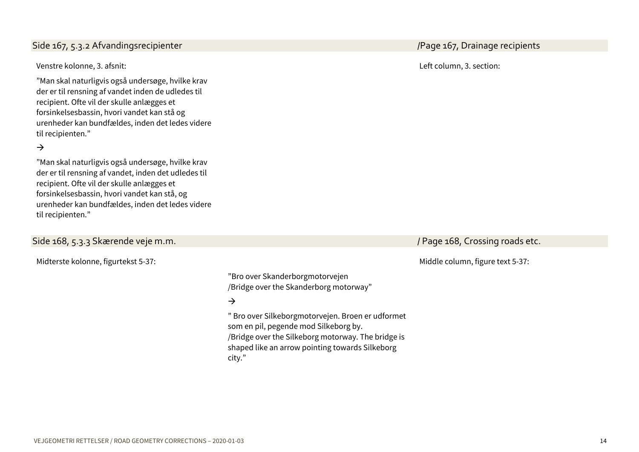# <span id="page-13-0"></span>Side 167, 5.3.2 Afvandingsrecipienter // Campion 1999 / Campion 1999 / Page 167, Drainage recipients

Venstre kolonne, 3. afsnit:

"Man skal naturligvis også undersøge, hvilke krav der er til rensning af vandet inden de udledes til recipient. Ofte vil der skulle anlægges et forsinkelsesbassin, hvori vandet kan stå og urenheder kan bundfældes, inden det ledes videre til recipienten."

### $\rightarrow$

"Man skal naturligvis også undersøge, hvilke krav der er til rensning af vandet, inden det udledes til recipient. Ofte vil der skulle anlægges et forsinkelsesbassin, hvori vandet kan stå, og urenheder kan bundfældes, inden det ledes videre til recipienten."

# <span id="page-13-1"></span>Side 168, 5.3.3 Skærende veje m.m. / Page 168, Crossing roads etc.

Midterste kolonne, figurtekst 5-37:

Left column, 3. section:

Middle column, figure text 5-37:

"Bro over Skanderborgmotorvejen /Bridge over the Skanderborg motorway"

#### $\rightarrow$

" Bro over Silkeborgmotorvejen. Broen er udformet som en pil, pegende mod Silkeborg by. /Bridge over the Silkeborg motorway. The bridge is shaped like an arrow pointing towards Silkeborg city."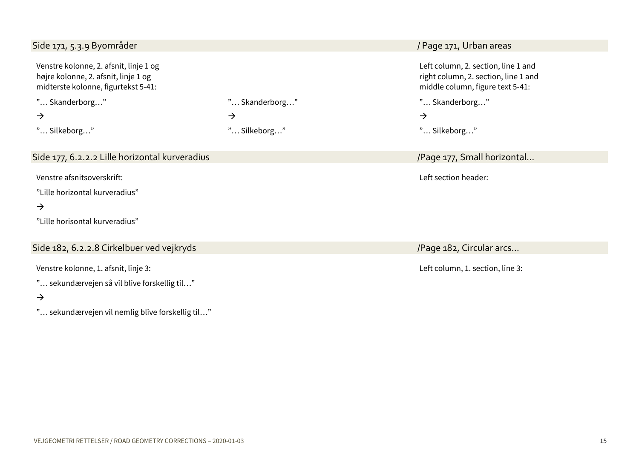#### <span id="page-14-1"></span><span id="page-14-0"></span>Side 171, 5.3.9 Byområder / Page 171, Urban areas Venstre kolonne, 2. afsnit, linje 1 og højre kolonne, 2. afsnit, linje 1 og midterste kolonne, figurtekst 5-41: Left column, 2. section, line 1 and right column, 2. section, line 1 and middle column, figure text 5-41: "… Skanderborg…"  $\rightarrow$ "… Silkeborg…" "… Skanderborg…"  $\rightarrow$ "… Silkeborg…" "… Skanderborg…"  $\rightarrow$ "… Silkeborg…" Side 177, 6.2.2.2 Lille horizontal kurveradius / Alexander Annual Lille and Alexander Annual Annual Annual Ann Venstre afsnitsoverskrift: "Lille horizontal kurveradius"  $\rightarrow$ "Lille horisontal kurveradius" Left section header: Side 182, 6.2.2.8 Cirkelbuer ved vejkryds /Page 182, Circular arcs… Venstre kolonne, 1. afsnit, linje 3: "… sekundærvejen så vil blive forskellig til…" Left column, 1. section, line 3:

"… sekundærvejen vil nemlig blive forskellig til…"

<span id="page-14-2"></span> $\rightarrow$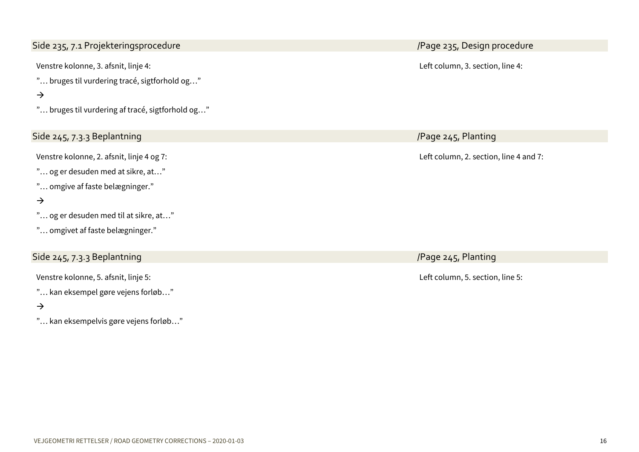<span id="page-15-0"></span>Side 235, 7.1 Projekteringsprocedure /Page 235, Design procedure

Venstre kolonne, 3. afsnit, linje 4:

"… bruges til vurdering tracé, sigtforhold og…"

# $\rightarrow$

"… bruges til vurdering af tracé, sigtforhold og…"

# <span id="page-15-1"></span>Side 245, 7.3.3 Beplantning /Page 245, Planting

Venstre kolonne, 2. afsnit, linje 4 og 7:

"… og er desuden med at sikre, at…"

"… omgive af faste belægninger."

### $\rightarrow$

- "… og er desuden med til at sikre, at…"
- "… omgivet af faste belægninger."

# <span id="page-15-2"></span>Side 245, 7.3.3 Beplantning /Page 245, Planting

Venstre kolonne, 5. afsnit, linje 5:

"… kan eksempel gøre vejens forløb…"

### $\rightarrow$

"… kan eksempelvis gøre vejens forløb…"

Left column, 3. section, line 4:

Left column, 2. section, line 4 and 7:

Left column, 5. section, line 5: